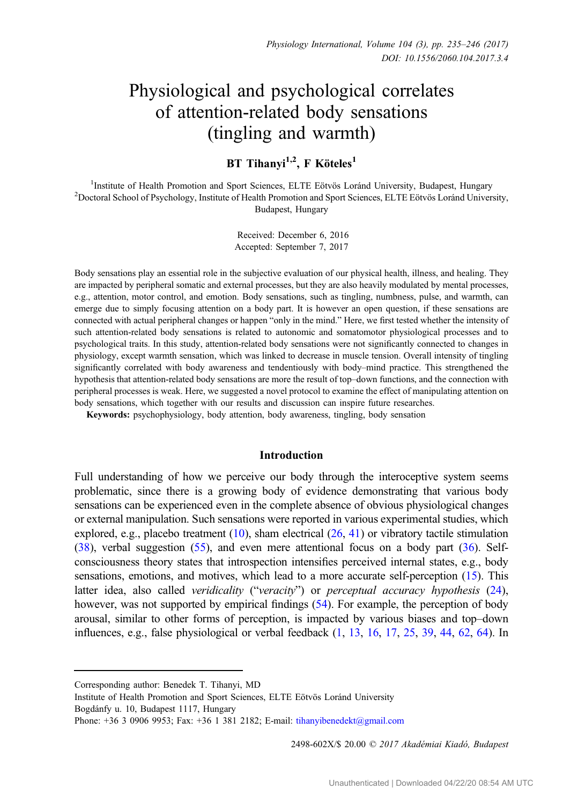# Physiological and psychological correlates of attention-related body sensations (tingling and warmth)

BT Tihanyi<sup>1,2</sup>, F Köteles<sup>1</sup>

<sup>1</sup>Institute of Health Promotion and Sport Sciences, ELTE Eötvös Loránd University, Budapest, Hungary Institute of Health Promotion and Sport Sciences, ELTE Eötvös Loránd University, Budapest, Hungary <sup>2</sup> Doctoral School of Psychology, Institute of Health Promotion and Sport Sciences, ELTE Eötvös Loránd University, Budapest, Hungary

> Received: December 6, 2016 Accepted: September 7, 2017

Body sensations play an essential role in the subjective evaluation of our physical health, illness, and healing. They are impacted by peripheral somatic and external processes, but they are also heavily modulated by mental processes, e.g., attention, motor control, and emotion. Body sensations, such as tingling, numbness, pulse, and warmth, can emerge due to simply focusing attention on a body part. It is however an open question, if these sensations are connected with actual peripheral changes or happen "only in the mind." Here, we first tested whether the intensity of such attention-related body sensations is related to autonomic and somatomotor physiological processes and to psychological traits. In this study, attention-related body sensations were not significantly connected to changes in physiology, except warmth sensation, which was linked to decrease in muscle tension. Overall intensity of tingling significantly correlated with body awareness and tendentiously with body–mind practice. This strengthened the hypothesis that attention-related body sensations are more the result of top–down functions, and the connection with peripheral processes is weak. Here, we suggested a novel protocol to examine the effect of manipulating attention on body sensations, which together with our results and discussion can inspire future researches.

Keywords: psychophysiology, body attention, body awareness, tingling, body sensation

## Introduction

Full understanding of how we perceive our body through the interoceptive system seems problematic, since there is a growing body of evidence demonstrating that various body sensations can be experienced even in the complete absence of obvious physiological changes or external manipulation. Such sensations were reported in various experimental studies, which explored, e.g., placebo treatment [\(10\)](#page-9-0), sham electrical ([26,](#page-10-0) [41\)](#page-10-0) or vibratory tactile stimulation [\(38\)](#page-10-0), verbal suggestion [\(55](#page-11-0)), and even mere attentional focus on a body part [\(36](#page-10-0)). Selfconsciousness theory states that introspection intensifies perceived internal states, e.g., body sensations, emotions, and motives, which lead to a more accurate self-perception ([15\)](#page-9-0). This latter idea, also called veridicality ("veracity") or perceptual accuracy hypothesis ([24](#page-10-0)), however, was not supported by empirical findings [\(54\)](#page-11-0). For example, the perception of body arousal, similar to other forms of perception, is impacted by various biases and top–down influences, e.g., false physiological or verbal feedback [\(1](#page-9-0), [13,](#page-9-0) [16](#page-9-0), [17,](#page-9-0) [25](#page-10-0), [39,](#page-10-0) [44](#page-10-0), [62,](#page-11-0) [64](#page-11-0)). In

2498-602X/\$ 20.00 C 2017 Akadémiai Kiadó, Budapest

Corresponding author: Benedek T. Tihanyi, MD

Institute of Health Promotion and Sport Sciences, ELTE Eötvös Loránd University Bogdánfy u. 10, Budapest 1117, Hungary

Phone: +36 3 0906 9953; Fax: +36 1 381 2182; E-mail: [tihanyibenedekt@gmail.com](mailto:tihanyibenedekt@gmail.com)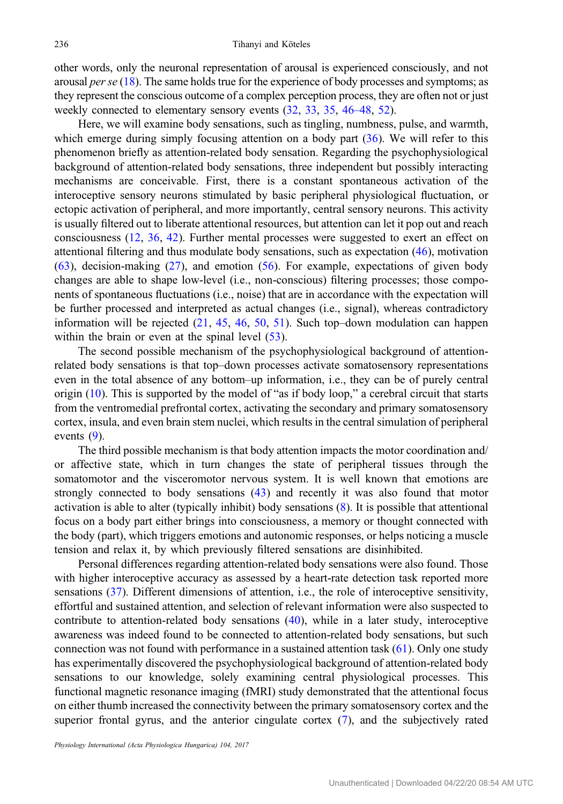other words, only the neuronal representation of arousal is experienced consciously, and not arousal *per se*  $(18)$  $(18)$ . The same holds true for the experience of body processes and symptoms; as they represent the conscious outcome of a complex perception process, they are often not or just weekly connected to elementary sensory events [\(32](#page-10-0), [33,](#page-10-0) [35,](#page-10-0) [46](#page-10-0)–48, [52\)](#page-11-0).

Here, we will examine body sensations, such as tingling, numbness, pulse, and warmth, which emerge during simply focusing attention on a body part ([36\)](#page-10-0). We will refer to this phenomenon briefly as attention-related body sensation. Regarding the psychophysiological background of attention-related body sensations, three independent but possibly interacting mechanisms are conceivable. First, there is a constant spontaneous activation of the interoceptive sensory neurons stimulated by basic peripheral physiological fluctuation, or ectopic activation of peripheral, and more importantly, central sensory neurons. This activity is usually filtered out to liberate attentional resources, but attention can let it pop out and reach consciousness [\(12,](#page-9-0) [36](#page-10-0), [42](#page-10-0)). Further mental processes were suggested to exert an effect on attentional filtering and thus modulate body sensations, such as expectation ([46\)](#page-10-0), motivation [\(63](#page-11-0)), decision-making ([27\)](#page-10-0), and emotion ([56\)](#page-11-0). For example, expectations of given body changes are able to shape low-level (i.e., non-conscious) filtering processes; those components of spontaneous fluctuations (i.e., noise) that are in accordance with the expectation will be further processed and interpreted as actual changes (i.e., signal), whereas contradictory information will be rejected ([21,](#page-9-0) [45,](#page-10-0) [46,](#page-10-0) [50](#page-11-0), [51](#page-11-0)). Such top–down modulation can happen within the brain or even at the spinal level ([53\)](#page-11-0).

The second possible mechanism of the psychophysiological background of attentionrelated body sensations is that top–down processes activate somatosensory representations even in the total absence of any bottom–up information, i.e., they can be of purely central origin ([10\)](#page-9-0). This is supported by the model of "as if body loop," a cerebral circuit that starts from the ventromedial prefrontal cortex, activating the secondary and primary somatosensory cortex, insula, and even brain stem nuclei, which results in the central simulation of peripheral events [\(9](#page-9-0)).

The third possible mechanism is that body attention impacts the motor coordination and/ or affective state, which in turn changes the state of peripheral tissues through the somatomotor and the visceromotor nervous system. It is well known that emotions are strongly connected to body sensations [\(43](#page-10-0)) and recently it was also found that motor activation is able to alter (typically inhibit) body sensations ([8\)](#page-9-0). It is possible that attentional focus on a body part either brings into consciousness, a memory or thought connected with the body (part), which triggers emotions and autonomic responses, or helps noticing a muscle tension and relax it, by which previously filtered sensations are disinhibited.

Personal differences regarding attention-related body sensations were also found. Those with higher interoceptive accuracy as assessed by a heart-rate detection task reported more sensations [\(37](#page-10-0)). Different dimensions of attention, i.e., the role of interoceptive sensitivity, effortful and sustained attention, and selection of relevant information were also suspected to contribute to attention-related body sensations  $(40)$  $(40)$ , while in a later study, interoceptive awareness was indeed found to be connected to attention-related body sensations, but such connection was not found with performance in a sustained attention task ([61\)](#page-11-0). Only one study has experimentally discovered the psychophysiological background of attention-related body sensations to our knowledge, solely examining central physiological processes. This functional magnetic resonance imaging (fMRI) study demonstrated that the attentional focus on either thumb increased the connectivity between the primary somatosensory cortex and the superior frontal gyrus, and the anterior cingulate cortex [\(7](#page-9-0)), and the subjectively rated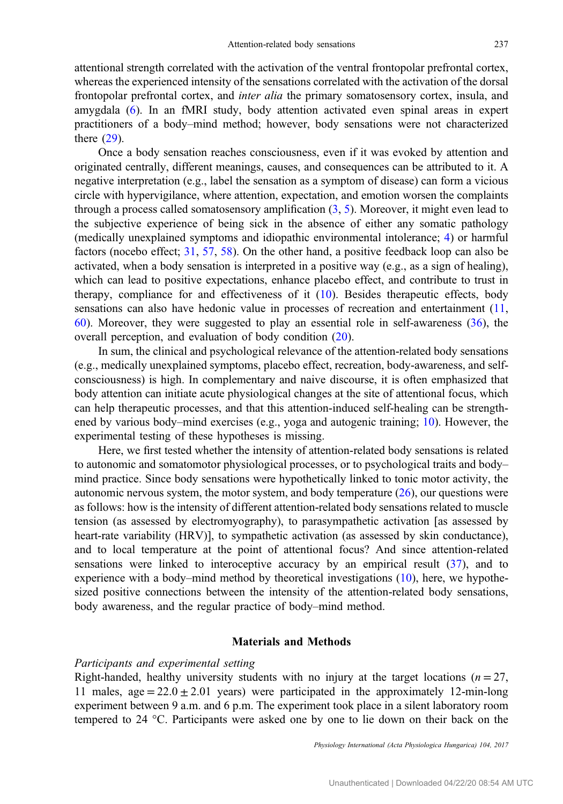attentional strength correlated with the activation of the ventral frontopolar prefrontal cortex, whereas the experienced intensity of the sensations correlated with the activation of the dorsal frontopolar prefrontal cortex, and inter alia the primary somatosensory cortex, insula, and amygdala ([6\)](#page-9-0). In an fMRI study, body attention activated even spinal areas in expert practitioners of a body–mind method; however, body sensations were not characterized there [\(29](#page-10-0)).

Once a body sensation reaches consciousness, even if it was evoked by attention and originated centrally, different meanings, causes, and consequences can be attributed to it. A negative interpretation (e.g., label the sensation as a symptom of disease) can form a vicious circle with hypervigilance, where attention, expectation, and emotion worsen the complaints through a process called somatosensory amplification  $(3, 5)$  $(3, 5)$  $(3, 5)$  $(3, 5)$ . Moreover, it might even lead to the subjective experience of being sick in the absence of either any somatic pathology (medically unexplained symptoms and idiopathic environmental intolerance; [4\)](#page-9-0) or harmful factors (nocebo effect; [31,](#page-10-0) [57](#page-11-0), [58\)](#page-11-0). On the other hand, a positive feedback loop can also be activated, when a body sensation is interpreted in a positive way (e.g., as a sign of healing), which can lead to positive expectations, enhance placebo effect, and contribute to trust in therapy, compliance for and effectiveness of it  $(10)$  $(10)$ . Besides therapeutic effects, body sensations can also have hedonic value in processes of recreation and entertainment [\(11,](#page-9-0) [60](#page-11-0)). Moreover, they were suggested to play an essential role in self-awareness [\(36](#page-10-0)), the overall perception, and evaluation of body condition ([20\)](#page-9-0).

In sum, the clinical and psychological relevance of the attention-related body sensations (e.g., medically unexplained symptoms, placebo effect, recreation, body-awareness, and selfconsciousness) is high. In complementary and naive discourse, it is often emphasized that body attention can initiate acute physiological changes at the site of attentional focus, which can help therapeutic processes, and that this attention-induced self-healing can be strengthened by various body–mind exercises (e.g., yoga and autogenic training; [10](#page-9-0)). However, the experimental testing of these hypotheses is missing.

Here, we first tested whether the intensity of attention-related body sensations is related to autonomic and somatomotor physiological processes, or to psychological traits and body– mind practice. Since body sensations were hypothetically linked to tonic motor activity, the autonomic nervous system, the motor system, and body temperature [\(26](#page-10-0)), our questions were as follows: how is the intensity of different attention-related body sensations related to muscle tension (as assessed by electromyography), to parasympathetic activation [as assessed by heart-rate variability (HRV)], to sympathetic activation (as assessed by skin conductance), and to local temperature at the point of attentional focus? And since attention-related sensations were linked to interoceptive accuracy by an empirical result ([37\)](#page-10-0), and to experience with a body–mind method by theoretical investigations  $(10)$  $(10)$ , here, we hypothesized positive connections between the intensity of the attention-related body sensations, body awareness, and the regular practice of body–mind method.

# Materials and Methods

# Participants and experimental setting

Right-handed, healthy university students with no injury at the target locations ( $n = 27$ , 11 males,  $age = 22.0 \pm 2.01$  years) were participated in the approximately 12-min-long experiment between 9 a.m. and 6 p.m. The experiment took place in a silent laboratory room tempered to 24 °C. Participants were asked one by one to lie down on their back on the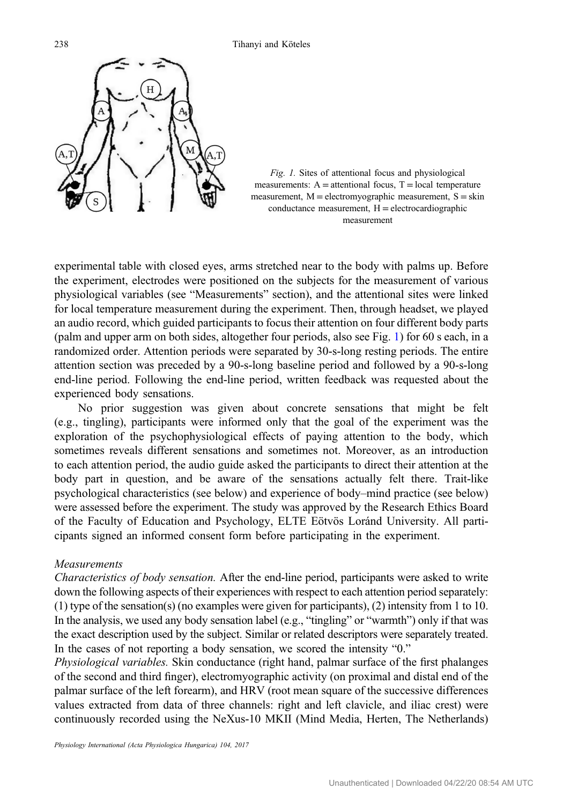<span id="page-3-0"></span>



experimental table with closed eyes, arms stretched near to the body with palms up. Before the experiment, electrodes were positioned on the subjects for the measurement of various physiological variables (see "Measurements" section), and the attentional sites were linked for local temperature measurement during the experiment. Then, through headset, we played an audio record, which guided participants to focus their attention on four different body parts (palm and upper arm on both sides, altogether four periods, also see Fig. 1) for 60 s each, in a randomized order. Attention periods were separated by 30-s-long resting periods. The entire attention section was preceded by a 90-s-long baseline period and followed by a 90-s-long end-line period. Following the end-line period, written feedback was requested about the experienced body sensations.

No prior suggestion was given about concrete sensations that might be felt (e.g., tingling), participants were informed only that the goal of the experiment was the exploration of the psychophysiological effects of paying attention to the body, which sometimes reveals different sensations and sometimes not. Moreover, as an introduction to each attention period, the audio guide asked the participants to direct their attention at the body part in question, and be aware of the sensations actually felt there. Trait-like psychological characteristics (see below) and experience of body–mind practice (see below) were assessed before the experiment. The study was approved by the Research Ethics Board of the Faculty of Education and Psychology, ELTE Eötvös Loránd University. All participants signed an informed consent form before participating in the experiment.

## Measurements

Characteristics of body sensation. After the end-line period, participants were asked to write down the following aspects of their experiences with respect to each attention period separately: (1) type of the sensation(s) (no examples were given for participants), (2) intensity from 1 to 10. In the analysis, we used any body sensation label (e.g., "tingling" or "warmth") only if that was the exact description used by the subject. Similar or related descriptors were separately treated. In the cases of not reporting a body sensation, we scored the intensity "0."

Physiological variables. Skin conductance (right hand, palmar surface of the first phalanges of the second and third finger), electromyographic activity (on proximal and distal end of the palmar surface of the left forearm), and HRV (root mean square of the successive differences values extracted from data of three channels: right and left clavicle, and iliac crest) were continuously recorded using the NeXus-10 MKII (Mind Media, Herten, The Netherlands)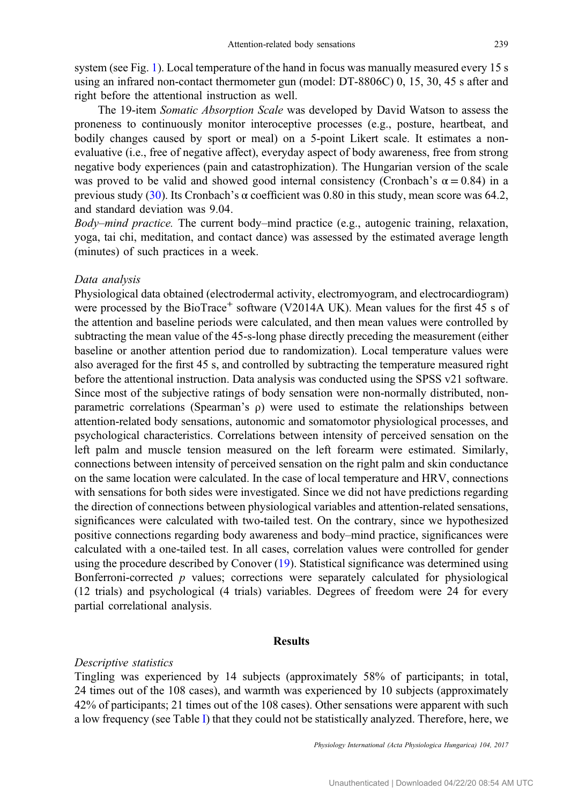system (see Fig. [1](#page-3-0)). Local temperature of the hand in focus was manually measured every 15 s using an infrared non-contact thermometer gun (model: DT-8806C) 0, 15, 30, 45 s after and right before the attentional instruction as well.

The 19-item Somatic Absorption Scale was developed by David Watson to assess the proneness to continuously monitor interoceptive processes (e.g., posture, heartbeat, and bodily changes caused by sport or meal) on a 5-point Likert scale. It estimates a nonevaluative (i.e., free of negative affect), everyday aspect of body awareness, free from strong negative body experiences (pain and catastrophization). The Hungarian version of the scale was proved to be valid and showed good internal consistency (Cronbach's  $\alpha = 0.84$ ) in a previous study [\(30](#page-10-0)). Its Cronbach's α coefficient was 0.80 in this study, mean score was 64.2, and standard deviation was 9.04.

Body–mind practice. The current body–mind practice (e.g., autogenic training, relaxation, yoga, tai chi, meditation, and contact dance) was assessed by the estimated average length (minutes) of such practices in a week.

#### Data analysis

Physiological data obtained (electrodermal activity, electromyogram, and electrocardiogram) were processed by the BioTrace<sup>+</sup> software (V2014A UK). Mean values for the first 45 s of the attention and baseline periods were calculated, and then mean values were controlled by subtracting the mean value of the 45-s-long phase directly preceding the measurement (either baseline or another attention period due to randomization). Local temperature values were also averaged for the first 45 s, and controlled by subtracting the temperature measured right before the attentional instruction. Data analysis was conducted using the SPSS v21 software. Since most of the subjective ratings of body sensation were non-normally distributed, nonparametric correlations (Spearman's ρ) were used to estimate the relationships between attention-related body sensations, autonomic and somatomotor physiological processes, and psychological characteristics. Correlations between intensity of perceived sensation on the left palm and muscle tension measured on the left forearm were estimated. Similarly, connections between intensity of perceived sensation on the right palm and skin conductance on the same location were calculated. In the case of local temperature and HRV, connections with sensations for both sides were investigated. Since we did not have predictions regarding the direction of connections between physiological variables and attention-related sensations, significances were calculated with two-tailed test. On the contrary, since we hypothesized positive connections regarding body awareness and body–mind practice, significances were calculated with a one-tailed test. In all cases, correlation values were controlled for gender using the procedure described by Conover [\(19](#page-9-0)). Statistical significance was determined using Bonferroni-corrected  $p$  values; corrections were separately calculated for physiological (12 trials) and psychological (4 trials) variables. Degrees of freedom were 24 for every partial correlational analysis.

# Results

### Descriptive statistics

Tingling was experienced by 14 subjects (approximately 58% of participants; in total, 24 times out of the 108 cases), and warmth was experienced by 10 subjects (approximately 42% of participants; 21 times out of the 108 cases). Other sensations were apparent with such a low frequency (see Table [I](#page-5-0)) that they could not be statistically analyzed. Therefore, here, we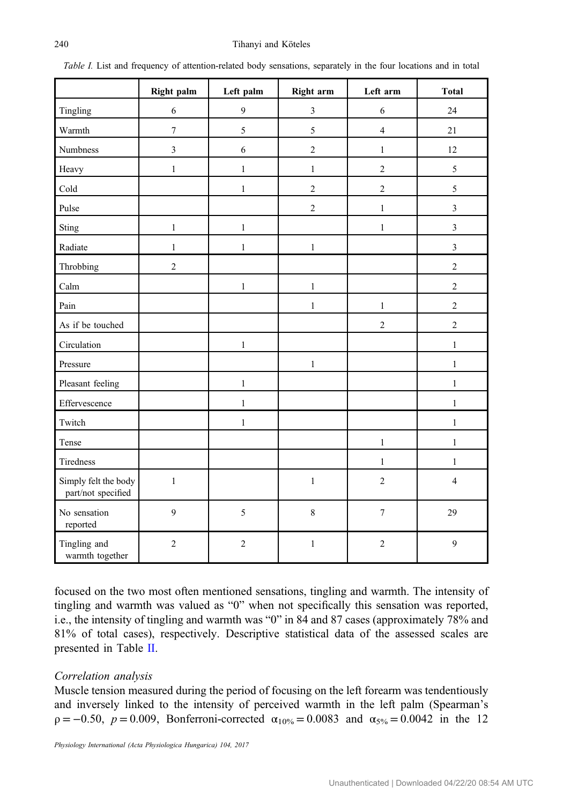|                                            | Right palm       | Left palm      | <b>Right arm</b> | Left arm       | <b>Total</b>   |
|--------------------------------------------|------------------|----------------|------------------|----------------|----------------|
| Tingling                                   | 6                | 9              | $\overline{3}$   | 6              | 24             |
| Warmth                                     | $\boldsymbol{7}$ | 5              | 5                | $\overline{4}$ | 21             |
| <b>Numbness</b>                            | 3                | 6              | $\overline{2}$   | $\mathbf{1}$   | 12             |
| Heavy                                      | $\mathbf{1}$     | $\mathbf{1}$   | $\mathbf{1}$     | $\overline{c}$ | 5              |
| Cold                                       |                  | $\mathbf{1}$   | $\overline{c}$   | $\overline{c}$ | 5              |
| Pulse                                      |                  |                | $\overline{c}$   | $\mathbf{1}$   | $\mathfrak{Z}$ |
| Sting                                      | $\mathbf{1}$     | $\mathbf{1}$   |                  | $\mathbf{1}$   | $\overline{3}$ |
| Radiate                                    | $\mathbf{1}$     | $\mathbf{1}$   | $\mathbf{1}$     |                | $\mathfrak{Z}$ |
| Throbbing                                  | $\overline{2}$   |                |                  |                | $\overline{2}$ |
| Calm                                       |                  | $\mathbf{1}$   | $\mathbf{1}$     |                | $\overline{2}$ |
| Pain                                       |                  |                | $\mathbf{1}$     | $\mathbf{1}$   | $\overline{2}$ |
| As if be touched                           |                  |                |                  | $\overline{c}$ | $\overline{2}$ |
| Circulation                                |                  | $\mathbf{1}$   |                  |                | $\mathbf{1}$   |
| Pressure                                   |                  |                | $\mathbf{1}$     |                | $\mathbf{1}$   |
| Pleasant feeling                           |                  | $\mathbf{1}$   |                  |                | $\mathbf{1}$   |
| Effervescence                              |                  | $\mathbf{1}$   |                  |                | $\mathbf{1}$   |
| Twitch                                     |                  | $\mathbf{1}$   |                  |                | $\mathbf{1}$   |
| Tense                                      |                  |                |                  | $\,1$          | $\mathbf{1}$   |
| <b>Tiredness</b>                           |                  |                |                  | $\mathbf{1}$   | $\mathbf{1}$   |
| Simply felt the body<br>part/not specified | $\mathbf{1}$     |                | $\,1\,$          | $\overline{c}$ | $\overline{4}$ |
| No sensation<br>reported                   | 9                | 5              | $\,8\,$          | $\overline{7}$ | 29             |
| Tingling and<br>warmth together            | $\sqrt{2}$       | $\overline{c}$ | $\mathbf{1}$     | $\sqrt{2}$     | 9              |

<span id="page-5-0"></span>Table I. List and frequency of attention-related body sensations, separately in the four locations and in total

focused on the two most often mentioned sensations, tingling and warmth. The intensity of tingling and warmth was valued as "0" when not specifically this sensation was reported, i.e., the intensity of tingling and warmth was "0" in 84 and 87 cases (approximately 78% and 81% of total cases), respectively. Descriptive statistical data of the assessed scales are presented in Table [II](#page-6-0).

# Correlation analysis

Muscle tension measured during the period of focusing on the left forearm was tendentiously and inversely linked to the intensity of perceived warmth in the left palm (Spearman's  $\rho = -0.50$ ,  $p = 0.009$ , Bonferroni-corrected  $\alpha_{10\%} = 0.0083$  and  $\alpha_{5\%} = 0.0042$  in the 12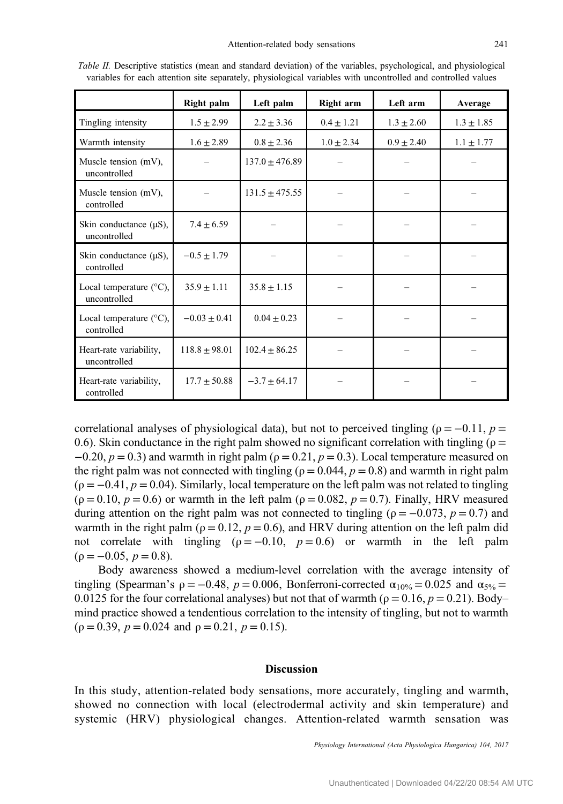|                                                   | Right palm        | Left palm          | Right arm      | Left arm       | Average        |
|---------------------------------------------------|-------------------|--------------------|----------------|----------------|----------------|
| Tingling intensity                                | $1.5 \pm 2.99$    | $2.2 \pm 3.36$     | $0.4 \pm 1.21$ | $1.3 \pm 2.60$ | $1.3 \pm 1.85$ |
| Warmth intensity                                  | $1.6 \pm 2.89$    | $0.8 \pm 2.36$     | $1.0 \pm 2.34$ | $0.9 \pm 2.40$ | $1.1 \pm 1.77$ |
| Muscle tension (mV),<br>uncontrolled              |                   | $137.0 \pm 476.89$ |                |                |                |
| Muscle tension (mV),<br>controlled                |                   | $131.5 \pm 475.55$ |                |                |                |
| Skin conductance $(\mu S)$ ,<br>uncontrolled      | $7.4 + 6.59$      |                    |                |                |                |
| Skin conductance $(\mu S)$ ,<br>controlled        | $-0.5 \pm 1.79$   |                    |                |                |                |
| Local temperature $(^{\circ}C)$ ,<br>uncontrolled | $35.9 \pm 1.11$   | $35.8 \pm 1.15$    |                |                |                |
| Local temperature $(^{\circ}C)$ ,<br>controlled   | $-0.03 + 0.41$    | $0.04 \pm 0.23$    |                |                |                |
| Heart-rate variability,<br>uncontrolled           | $118.8 \pm 98.01$ | $102.4 \pm 86.25$  |                |                |                |
| Heart-rate variability,<br>controlled             | $17.7 \pm 50.88$  | $-3.7 + 64.17$     |                |                |                |

<span id="page-6-0"></span>Table II. Descriptive statistics (mean and standard deviation) of the variables, psychological, and physiological variables for each attention site separately, physiological variables with uncontrolled and controlled values

correlational analyses of physiological data), but not to perceived tingling ( $\rho = -0.11$ ,  $p =$ 0.6). Skin conductance in the right palm showed no significant correlation with tingling ( $\rho =$  $-0.20$ ,  $p = 0.3$ ) and warmth in right palm ( $\rho = 0.21$ ,  $p = 0.3$ ). Local temperature measured on the right palm was not connected with tingling ( $\rho = 0.044$ ,  $p = 0.8$ ) and warmth in right palm  $(p = -0.41, p = 0.04)$ . Similarly, local temperature on the left palm was not related to tingling  $(\rho = 0.10, p = 0.6)$  or warmth in the left palm  $(\rho = 0.082, p = 0.7)$ . Finally, HRV measured during attention on the right palm was not connected to tingling ( $\rho = -0.073$ ,  $p = 0.7$ ) and warmth in the right palm ( $\rho = 0.12$ ,  $p = 0.6$ ), and HRV during attention on the left palm did not correlate with tingling ( $\rho = -0.10$ ,  $p = 0.6$ ) or warmth in the left palm  $(p = -0.05, p = 0.8).$ 

Body awareness showed a medium-level correlation with the average intensity of tingling (Spearman's  $\rho = -0.48$ ,  $p = 0.006$ , Bonferroni-corrected  $\alpha_{10\%} = 0.025$  and  $\alpha_{5\%} =$ 0.0125 for the four correlational analyses) but not that of warmth ( $\rho = 0.16$ ,  $p = 0.21$ ). Body– mind practice showed a tendentious correlation to the intensity of tingling, but not to warmth  $(\rho = 0.39, p = 0.024 \text{ and } \rho = 0.21, p = 0.15).$ 

#### Discussion

In this study, attention-related body sensations, more accurately, tingling and warmth, showed no connection with local (electrodermal activity and skin temperature) and systemic (HRV) physiological changes. Attention-related warmth sensation was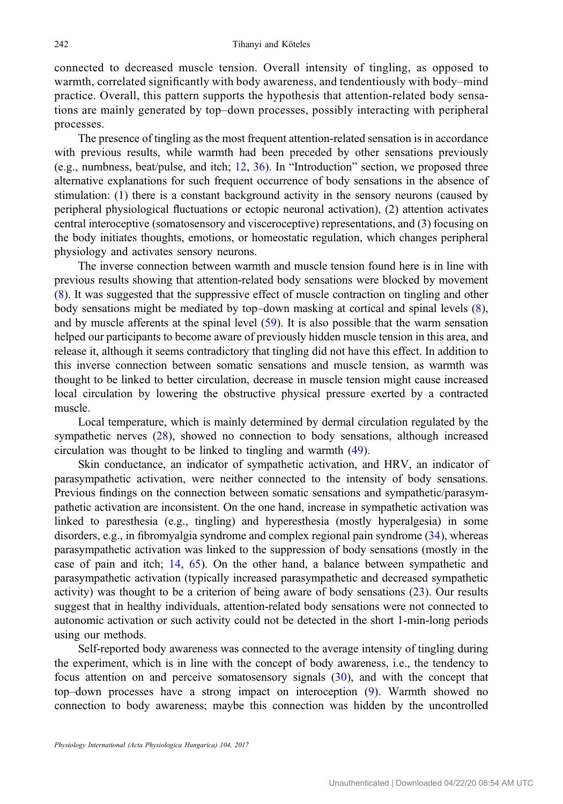connected to decreased muscle tension. Overall intensity of tingling, as opposed to warmth, correlated significantly with body awareness, and tendentiously with body–mind practice. Overall, this pattern supports the hypothesis that attention-related body sensations are mainly generated by top–down processes, possibly interacting with peripheral processes.

The presence of tingling as the most frequent attention-related sensation is in accordance with previous results, while warmth had been preceded by other sensations previously (e.g., numbness, beat/pulse, and itch; [12,](#page-9-0) [36](#page-10-0)). In "Introduction" section, we proposed three alternative explanations for such frequent occurrence of body sensations in the absence of stimulation: (1) there is a constant background activity in the sensory neurons (caused by peripheral physiological fluctuations or ectopic neuronal activation), (2) attention activates central interoceptive (somatosensory and visceroceptive) representations, and (3) focusing on the body initiates thoughts, emotions, or homeostatic regulation, which changes peripheral physiology and activates sensory neurons.

The inverse connection between warmth and muscle tension found here is in line with previous results showing that attention-related body sensations were blocked by movement [\(8](#page-9-0)). It was suggested that the suppressive effect of muscle contraction on tingling and other body sensations might be mediated by top–down masking at cortical and spinal levels [\(8](#page-9-0)), and by muscle afferents at the spinal level [\(59](#page-11-0)). It is also possible that the warm sensation helped our participants to become aware of previously hidden muscle tension in this area, and release it, although it seems contradictory that tingling did not have this effect. In addition to this inverse connection between somatic sensations and muscle tension, as warmth was thought to be linked to better circulation, decrease in muscle tension might cause increased local circulation by lowering the obstructive physical pressure exerted by a contracted muscle.

Local temperature, which is mainly determined by dermal circulation regulated by the sympathetic nerves [\(28](#page-10-0)), showed no connection to body sensations, although increased circulation was thought to be linked to tingling and warmth [\(49](#page-11-0)).

Skin conductance, an indicator of sympathetic activation, and HRV, an indicator of parasympathetic activation, were neither connected to the intensity of body sensations. Previous findings on the connection between somatic sensations and sympathetic/parasympathetic activation are inconsistent. On the one hand, increase in sympathetic activation was linked to paresthesia (e.g., tingling) and hyperesthesia (mostly hyperalgesia) in some disorders, e.g., in fibromyalgia syndrome and complex regional pain syndrome ([34\)](#page-10-0), whereas parasympathetic activation was linked to the suppression of body sensations (mostly in the case of pain and itch; [14,](#page-9-0) [65\)](#page-11-0). On the other hand, a balance between sympathetic and parasympathetic activation (typically increased parasympathetic and decreased sympathetic activity) was thought to be a criterion of being aware of body sensations [\(23](#page-10-0)). Our results suggest that in healthy individuals, attention-related body sensations were not connected to autonomic activation or such activity could not be detected in the short 1-min-long periods using our methods.

Self-reported body awareness was connected to the average intensity of tingling during the experiment, which is in line with the concept of body awareness, i.e., the tendency to focus attention on and perceive somatosensory signals [\(30](#page-10-0)), and with the concept that top–down processes have a strong impact on interoception ([9\)](#page-9-0). Warmth showed no connection to body awareness; maybe this connection was hidden by the uncontrolled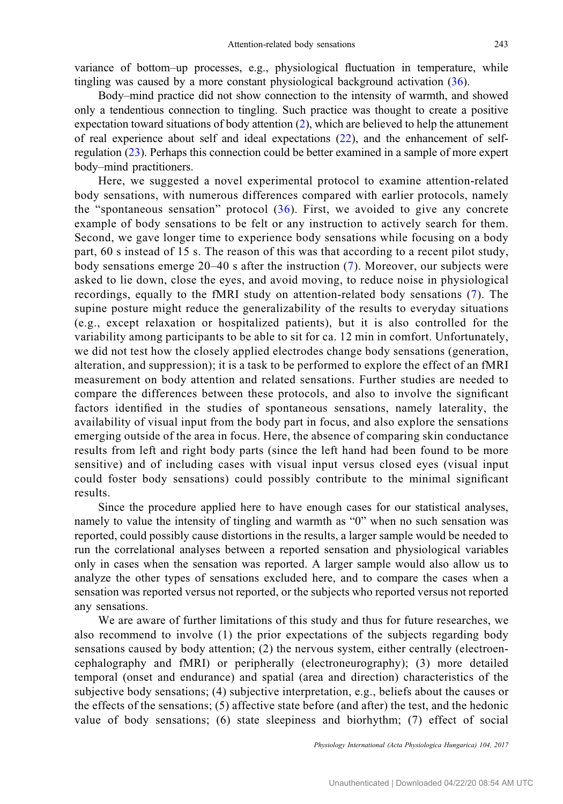variance of bottom–up processes, e.g., physiological fluctuation in temperature, while tingling was caused by a more constant physiological background activation ([36\)](#page-10-0).

Body–mind practice did not show connection to the intensity of warmth, and showed only a tendentious connection to tingling. Such practice was thought to create a positive expectation toward situations of body attention [\(2](#page-9-0)), which are believed to help the attunement of real experience about self and ideal expectations [\(22](#page-9-0)), and the enhancement of selfregulation ([23\)](#page-10-0). Perhaps this connection could be better examined in a sample of more expert body–mind practitioners.

Here, we suggested a novel experimental protocol to examine attention-related body sensations, with numerous differences compared with earlier protocols, namely the "spontaneous sensation" protocol  $(36)$  $(36)$ . First, we avoided to give any concrete example of body sensations to be felt or any instruction to actively search for them. Second, we gave longer time to experience body sensations while focusing on a body part, 60 s instead of 15 s. The reason of this was that according to a recent pilot study, body sensations emerge 20–40 s after the instruction ([7](#page-9-0)). Moreover, our subjects were asked to lie down, close the eyes, and avoid moving, to reduce noise in physiological recordings, equally to the fMRI study on attention-related body sensations [\(7\)](#page-9-0). The supine posture might reduce the generalizability of the results to everyday situations (e.g., except relaxation or hospitalized patients), but it is also controlled for the variability among participants to be able to sit for ca. 12 min in comfort. Unfortunately, we did not test how the closely applied electrodes change body sensations (generation, alteration, and suppression); it is a task to be performed to explore the effect of an fMRI measurement on body attention and related sensations. Further studies are needed to compare the differences between these protocols, and also to involve the significant factors identified in the studies of spontaneous sensations, namely laterality, the availability of visual input from the body part in focus, and also explore the sensations emerging outside of the area in focus. Here, the absence of comparing skin conductance results from left and right body parts (since the left hand had been found to be more sensitive) and of including cases with visual input versus closed eyes (visual input could foster body sensations) could possibly contribute to the minimal significant results.

Since the procedure applied here to have enough cases for our statistical analyses, namely to value the intensity of tingling and warmth as "0" when no such sensation was reported, could possibly cause distortions in the results, a larger sample would be needed to run the correlational analyses between a reported sensation and physiological variables only in cases when the sensation was reported. A larger sample would also allow us to analyze the other types of sensations excluded here, and to compare the cases when a sensation was reported versus not reported, or the subjects who reported versus not reported any sensations.

We are aware of further limitations of this study and thus for future researches, we also recommend to involve (1) the prior expectations of the subjects regarding body sensations caused by body attention; (2) the nervous system, either centrally (electroencephalography and fMRI) or peripherally (electroneurography); (3) more detailed temporal (onset and endurance) and spatial (area and direction) characteristics of the subjective body sensations; (4) subjective interpretation, e.g., beliefs about the causes or the effects of the sensations; (5) affective state before (and after) the test, and the hedonic value of body sensations; (6) state sleepiness and biorhythm; (7) effect of social

Physiology International (Acta Physiologica Hungarica) 104, 2017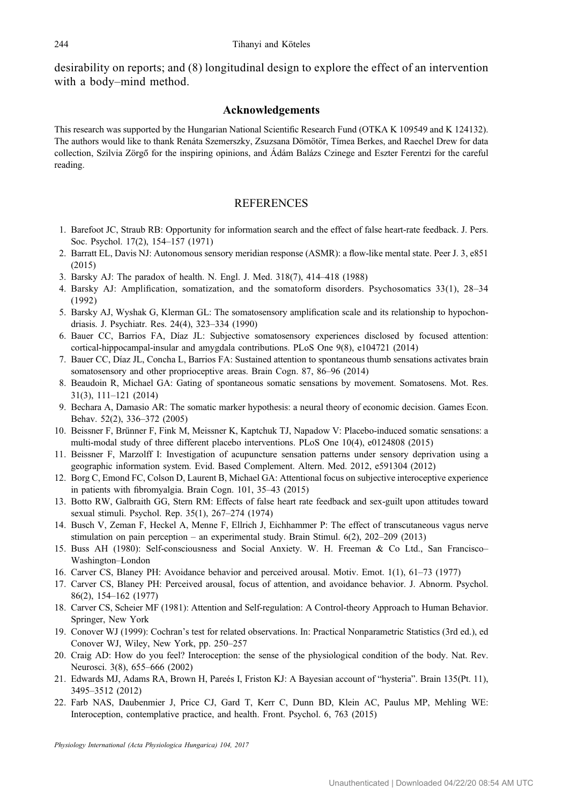<span id="page-9-0"></span>desirability on reports; and (8) longitudinal design to explore the effect of an intervention with a body–mind method.

#### Acknowledgements

This research was supported by the Hungarian National Scientific Research Fund (OTKA K 109549 and K 124132). The authors would like to thank Renáta Szemerszky, Zsuzsana Dömötör, Tímea Berkes, and Raechel Drew for data collection, Szilvia Zörgő for the inspiring opinions, and Ádám Balázs Czinege and Eszter Ferentzi for the careful reading.

# REFERENCES

- 1. Barefoot JC, Straub RB: Opportunity for information search and the effect of false heart-rate feedback. J. Pers. Soc. Psychol. 17(2), 154–157 (1971)
- 2. Barratt EL, Davis NJ: Autonomous sensory meridian response (ASMR): a flow-like mental state. Peer J. 3, e851 (2015)
- 3. Barsky AJ: The paradox of health. N. Engl. J. Med. 318(7), 414–418 (1988)
- 4. Barsky AJ: Amplification, somatization, and the somatoform disorders. Psychosomatics 33(1), 28–34 (1992)
- 5. Barsky AJ, Wyshak G, Klerman GL: The somatosensory amplification scale and its relationship to hypochondriasis. J. Psychiatr. Res. 24(4), 323–334 (1990)
- 6. Bauer CC, Barrios FA, Díaz JL: Subjective somatosensory experiences disclosed by focused attention: cortical-hippocampal-insular and amygdala contributions. PLoS One 9(8), e104721 (2014)
- 7. Bauer CC, Díaz JL, Concha L, Barrios FA: Sustained attention to spontaneous thumb sensations activates brain somatosensory and other proprioceptive areas. Brain Cogn. 87, 86–96 (2014)
- 8. Beaudoin R, Michael GA: Gating of spontaneous somatic sensations by movement. Somatosens. Mot. Res. 31(3), 111–121 (2014)
- 9. Bechara A, Damasio AR: The somatic marker hypothesis: a neural theory of economic decision. Games Econ. Behav. 52(2), 336–372 (2005)
- 10. Beissner F, Brünner F, Fink M, Meissner K, Kaptchuk TJ, Napadow V: Placebo-induced somatic sensations: a multi-modal study of three different placebo interventions. PLoS One 10(4), e0124808 (2015)
- 11. Beissner F, Marzolff I: Investigation of acupuncture sensation patterns under sensory deprivation using a geographic information system. Evid. Based Complement. Altern. Med. 2012, e591304 (2012)
- 12. Borg C, Emond FC, Colson D, Laurent B, Michael GA: Attentional focus on subjective interoceptive experience in patients with fibromyalgia. Brain Cogn. 101, 35–43 (2015)
- 13. Botto RW, Galbraith GG, Stern RM: Effects of false heart rate feedback and sex-guilt upon attitudes toward sexual stimuli. Psychol. Rep. 35(1), 267–274 (1974)
- 14. Busch V, Zeman F, Heckel A, Menne F, Ellrich J, Eichhammer P: The effect of transcutaneous vagus nerve stimulation on pain perception – an experimental study. Brain Stimul. 6(2), 202–209 (2013)
- 15. Buss AH (1980): Self-consciousness and Social Anxiety. W. H. Freeman & Co Ltd., San Francisco– Washington–London
- 16. Carver CS, Blaney PH: Avoidance behavior and perceived arousal. Motiv. Emot. 1(1), 61–73 (1977)
- 17. Carver CS, Blaney PH: Perceived arousal, focus of attention, and avoidance behavior. J. Abnorm. Psychol. 86(2), 154–162 (1977)
- 18. Carver CS, Scheier MF (1981): Attention and Self-regulation: A Control-theory Approach to Human Behavior. Springer, New York
- 19. Conover WJ (1999): Cochran's test for related observations. In: Practical Nonparametric Statistics (3rd ed.), ed Conover WJ, Wiley, New York, pp. 250–257
- 20. Craig AD: How do you feel? Interoception: the sense of the physiological condition of the body. Nat. Rev. Neurosci. 3(8), 655–666 (2002)
- 21. Edwards MJ, Adams RA, Brown H, Pareés I, Friston KJ: A Bayesian account of "hysteria". Brain 135(Pt. 11), 3495–3512 (2012)
- 22. Farb NAS, Daubenmier J, Price CJ, Gard T, Kerr C, Dunn BD, Klein AC, Paulus MP, Mehling WE: Interoception, contemplative practice, and health. Front. Psychol. 6, 763 (2015)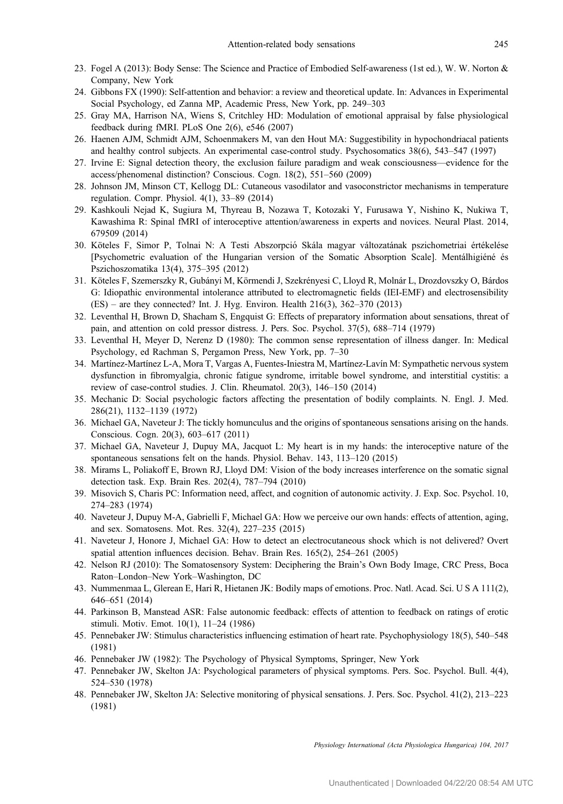- <span id="page-10-0"></span>23. Fogel A (2013): Body Sense: The Science and Practice of Embodied Self-awareness (1st ed.), W. W. Norton & Company, New York
- 24. Gibbons FX (1990): Self-attention and behavior: a review and theoretical update. In: Advances in Experimental Social Psychology, ed Zanna MP, Academic Press, New York, pp. 249–303
- 25. Gray MA, Harrison NA, Wiens S, Critchley HD: Modulation of emotional appraisal by false physiological feedback during fMRI. PLoS One 2(6), e546 (2007)
- 26. Haenen AJM, Schmidt AJM, Schoenmakers M, van den Hout MA: Suggestibility in hypochondriacal patients and healthy control subjects. An experimental case-control study. Psychosomatics 38(6), 543–547 (1997)
- 27. Irvine E: Signal detection theory, the exclusion failure paradigm and weak consciousness—evidence for the access/phenomenal distinction? Conscious. Cogn. 18(2), 551–560 (2009)
- 28. Johnson JM, Minson CT, Kellogg DL: Cutaneous vasodilator and vasoconstrictor mechanisms in temperature regulation. Compr. Physiol. 4(1), 33–89 (2014)
- 29. Kashkouli Nejad K, Sugiura M, Thyreau B, Nozawa T, Kotozaki Y, Furusawa Y, Nishino K, Nukiwa T, Kawashima R: Spinal fMRI of interoceptive attention/awareness in experts and novices. Neural Plast. 2014, 679509 (2014)
- 30. Köteles F, Simor P, Tolnai N: A Testi Abszorpció Skála magyar változatának pszichometriai értékelése [Psychometric evaluation of the Hungarian version of the Somatic Absorption Scale]. Mentálhigiéné és Pszichoszomatika 13(4), 375–395 (2012)
- 31. Köteles F, Szemerszky R, Gubányi M, Körmendi J, Szekrényesi C, Lloyd R, Molnár L, Drozdovszky O, Bárdos G: Idiopathic environmental intolerance attributed to electromagnetic fields (IEI-EMF) and electrosensibility (ES) – are they connected? Int. J. Hyg. Environ. Health 216(3), 362–370 (2013)
- 32. Leventhal H, Brown D, Shacham S, Engquist G: Effects of preparatory information about sensations, threat of pain, and attention on cold pressor distress. J. Pers. Soc. Psychol. 37(5), 688–714 (1979)
- 33. Leventhal H, Meyer D, Nerenz D (1980): The common sense representation of illness danger. In: Medical Psychology, ed Rachman S, Pergamon Press, New York, pp. 7–30
- 34. Martínez-Martínez L-A, Mora T, Vargas A, Fuentes-Iniestra M, Martínez-Lavín M: Sympathetic nervous system dysfunction in fibromyalgia, chronic fatigue syndrome, irritable bowel syndrome, and interstitial cystitis: a review of case-control studies. J. Clin. Rheumatol. 20(3), 146–150 (2014)
- 35. Mechanic D: Social psychologic factors affecting the presentation of bodily complaints. N. Engl. J. Med. 286(21), 1132–1139 (1972)
- 36. Michael GA, Naveteur J: The tickly homunculus and the origins of spontaneous sensations arising on the hands. Conscious. Cogn. 20(3), 603–617 (2011)
- 37. Michael GA, Naveteur J, Dupuy MA, Jacquot L: My heart is in my hands: the interoceptive nature of the spontaneous sensations felt on the hands. Physiol. Behav. 143, 113–120 (2015)
- 38. Mirams L, Poliakoff E, Brown RJ, Lloyd DM: Vision of the body increases interference on the somatic signal detection task. Exp. Brain Res. 202(4), 787–794 (2010)
- 39. Misovich S, Charis PC: Information need, affect, and cognition of autonomic activity. J. Exp. Soc. Psychol. 10, 274–283 (1974)
- 40. Naveteur J, Dupuy M-A, Gabrielli F, Michael GA: How we perceive our own hands: effects of attention, aging, and sex. Somatosens. Mot. Res. 32(4), 227–235 (2015)
- 41. Naveteur J, Honore J, Michael GA: How to detect an electrocutaneous shock which is not delivered? Overt spatial attention influences decision. Behav. Brain Res. 165(2), 254–261 (2005)
- 42. Nelson RJ (2010): The Somatosensory System: Deciphering the Brain's Own Body Image, CRC Press, Boca Raton–London–New York–Washington, DC
- 43. Nummenmaa L, Glerean E, Hari R, Hietanen JK: Bodily maps of emotions. Proc. Natl. Acad. Sci. U S A 111(2), 646–651 (2014)
- 44. Parkinson B, Manstead ASR: False autonomic feedback: effects of attention to feedback on ratings of erotic stimuli. Motiv. Emot. 10(1), 11–24 (1986)
- 45. Pennebaker JW: Stimulus characteristics influencing estimation of heart rate. Psychophysiology 18(5), 540–548 (1981)
- 46. Pennebaker JW (1982): The Psychology of Physical Symptoms, Springer, New York
- 47. Pennebaker JW, Skelton JA: Psychological parameters of physical symptoms. Pers. Soc. Psychol. Bull. 4(4), 524–530 (1978)
- 48. Pennebaker JW, Skelton JA: Selective monitoring of physical sensations. J. Pers. Soc. Psychol. 41(2), 213–223 (1981)

Physiology International (Acta Physiologica Hungarica) 104, 2017